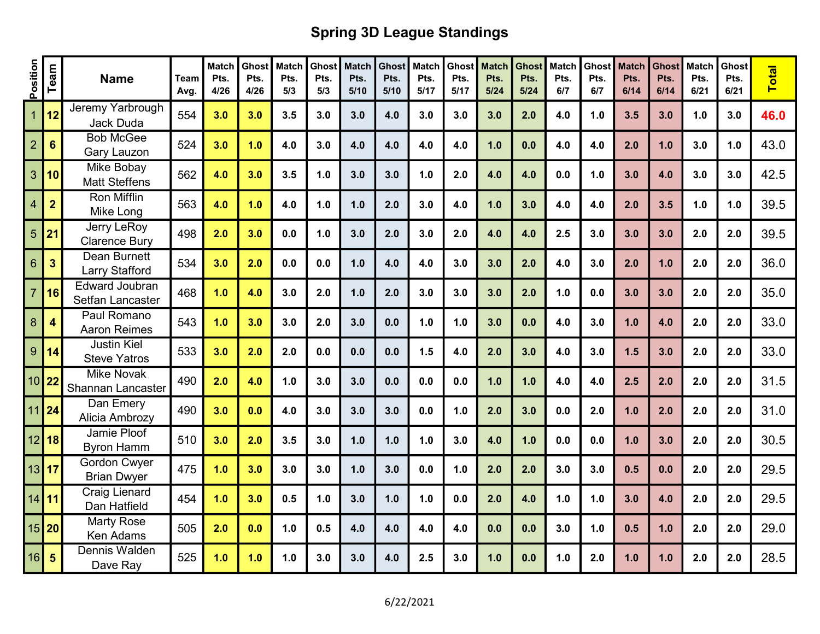## Spring 3D League Standings

| Position                 | Team                    | <b>Name</b>                                  | <b>Team</b><br>Avg. | <b>Match</b><br>Pts.<br>4/26 | Ghost<br>Pts.<br>4/26 | Match<br>Pts.<br>5/3 | <b>Ghost</b><br>Pts.<br>5/3 | <b>Match</b><br>Pts.<br>5/10 | Ghost<br>Pts.<br>5/10 | <b>Match</b><br>Pts.<br>5/17 | <b>Ghost</b><br>Pts.<br>5/17 | <b>Match</b><br>Pts.<br>5/24 | <b>Ghost</b><br>Pts.<br>$5/24$ | <b>Match</b><br>Pts.<br>6/7 | Ghost<br>Pts.<br>6/7 | <b>Match</b><br>Pts.<br>6/14 | <b>Ghost</b><br>Pts.<br>6/14 | <b>Match</b><br>Pts.<br>6/21 | Ghost<br>Pts.<br>6/21 | <b>Total</b> |
|--------------------------|-------------------------|----------------------------------------------|---------------------|------------------------------|-----------------------|----------------------|-----------------------------|------------------------------|-----------------------|------------------------------|------------------------------|------------------------------|--------------------------------|-----------------------------|----------------------|------------------------------|------------------------------|------------------------------|-----------------------|--------------|
| $\overline{1}$           | 12                      | Jeremy Yarbrough<br><b>Jack Duda</b>         | 554                 | 3.0                          | 3.0                   | 3.5                  | 3.0                         | 3.0                          | 4.0                   | 3.0                          | 3.0                          | 3.0                          | 2.0                            | 4.0                         | 1.0                  | 3.5                          | 3.0                          | 1.0                          | 3.0                   | 46.0         |
| $\overline{2}$           | 6                       | <b>Bob McGee</b><br>Gary Lauzon              | 524                 | 3.0                          | 1.0                   | 4.0                  | 3.0                         | 4.0                          | 4.0                   | 4.0                          | 4.0                          | 1.0                          | 0.0                            | 4.0                         | 4.0                  | 2.0                          | 1.0                          | 3.0                          | 1.0                   | 43.0         |
| 3                        | 10                      | Mike Bobay<br><b>Matt Steffens</b>           | 562                 | 4.0                          | 3.0                   | 3.5                  | 1.0                         | 3.0                          | 3.0                   | 1.0                          | 2.0                          | 4.0                          | 4.0                            | 0.0                         | 1.0                  | 3.0                          | 4.0                          | 3.0                          | 3.0                   | 42.5         |
| $\overline{\mathcal{A}}$ | $\overline{2}$          | <b>Ron Mifflin</b><br>Mike Long              | 563                 | 4.0                          | 1.0                   | 4.0                  | 1.0                         | 1.0                          | 2.0                   | 3.0                          | 4.0                          | 1.0                          | 3.0                            | 4.0                         | 4.0                  | 2.0                          | 3.5                          | 1.0                          | 1.0                   | 39.5         |
| 5                        | 21                      | <b>Jerry LeRoy</b><br><b>Clarence Bury</b>   | 498                 | 2.0                          | 3.0                   | 0.0                  | 1.0                         | 3.0                          | 2.0                   | 3.0                          | 2.0                          | 4.0                          | 4.0                            | 2.5                         | 3.0                  | 3.0                          | 3.0                          | 2.0                          | 2.0                   | 39.5         |
| $6\phantom{1}$           | $\overline{\mathbf{3}}$ | <b>Dean Burnett</b><br><b>Larry Stafford</b> | 534                 | 3.0                          | 2.0                   | 0.0                  | 0.0                         | 1.0                          | 4.0                   | 4.0                          | 3.0                          | 3.0                          | 2.0                            | 4.0                         | 3.0                  | 2.0                          | 1.0                          | 2.0                          | 2.0                   | 36.0         |
| $\overline{7}$           | 16                      | <b>Edward Joubran</b><br>Setfan Lancaster    | 468                 | 1.0                          | 4.0                   | 3.0                  | 2.0                         | 1.0                          | 2.0                   | 3.0                          | 3.0                          | 3.0                          | 2.0                            | 1.0                         | 0.0                  | 3.0                          | 3.0                          | 2.0                          | 2.0                   | 35.0         |
| 8                        | 4                       | Paul Romano<br><b>Aaron Reimes</b>           | 543                 | 1.0                          | 3.0                   | 3.0                  | 2.0                         | 3.0                          | 0.0                   | 1.0                          | 1.0                          | 3.0                          | 0.0                            | 4.0                         | 3.0                  | 1.0                          | 4.0                          | 2.0                          | 2.0                   | 33.0         |
| 9                        | 14                      | <b>Justin Kiel</b><br><b>Steve Yatros</b>    | 533                 | 3.0                          | 2.0                   | 2.0                  | 0.0                         | 0.0                          | 0.0                   | 1.5                          | 4.0                          | 2.0                          | 3.0                            | 4.0                         | 3.0                  | 1.5                          | 3.0                          | 2.0                          | 2.0                   | 33.0         |
| $10$   22                |                         | <b>Mike Novak</b><br>Shannan Lancaster       | 490                 | 2.0                          | 4.0                   | 1.0                  | 3.0                         | 3.0                          | 0.0                   | 0.0                          | 0.0                          | 1.0                          | 1.0                            | 4.0                         | 4.0                  | 2.5                          | 2.0                          | 2.0                          | 2.0                   | 31.5         |
| 11                       | 24                      | Dan Emery<br>Alicia Ambrozy                  | 490                 | 3.0                          | 0.0                   | 4.0                  | 3.0                         | 3.0                          | 3.0                   | 0.0                          | 1.0                          | 2.0                          | 3.0                            | 0.0                         | 2.0                  | 1.0                          | 2.0                          | 2.0                          | 2.0                   | 31.0         |
| $12$ 18                  |                         | Jamie Ploof<br><b>Byron Hamm</b>             | 510                 | 3.0                          | 2.0                   | 3.5                  | 3.0                         | 1.0                          | 1.0                   | 1.0                          | 3.0                          | 4.0                          | 1.0                            | 0.0                         | 0.0                  | 1.0                          | 3.0                          | 2.0                          | 2.0                   | 30.5         |
| 13 17                    |                         | <b>Gordon Cwyer</b><br><b>Brian Dwyer</b>    | 475                 | 1.0                          | 3.0                   | 3.0                  | 3.0                         | 1.0                          | 3.0                   | 0.0                          | 1.0                          | 2.0                          | 2.0                            | 3.0                         | 3.0                  | 0.5                          | 0.0                          | 2.0                          | 2.0                   | 29.5         |
| $14$ 11                  |                         | <b>Craig Lienard</b><br>Dan Hatfield         | 454                 | 1.0                          | 3.0                   | 0.5                  | 1.0                         | 3.0                          | 1.0                   | 1.0                          | 0.0                          | 2.0                          | 4.0                            | 1.0                         | 1.0                  | 3.0                          | 4.0                          | 2.0                          | 2.0                   | 29.5         |
| $15$   20                |                         | <b>Marty Rose</b><br><b>Ken Adams</b>        | 505                 | 2.0                          | 0.0                   | 1.0                  | 0.5                         | 4.0                          | 4.0                   | 4.0                          | 4.0                          | 0.0                          | 0.0                            | 3.0                         | 1.0                  | 0.5                          | 1.0                          | 2.0                          | 2.0                   | 29.0         |
| 16                       | $5\phantom{1}$          | Dennis Walden<br>Dave Ray                    | 525                 | 1.0                          | 1.0                   | 1.0                  | 3.0                         | 3.0                          | 4.0                   | 2.5                          | 3.0                          | 1.0                          | 0.0                            | 1.0                         | 2.0                  | 1.0                          | 1.0                          | 2.0                          | 2.0                   | 28.5         |